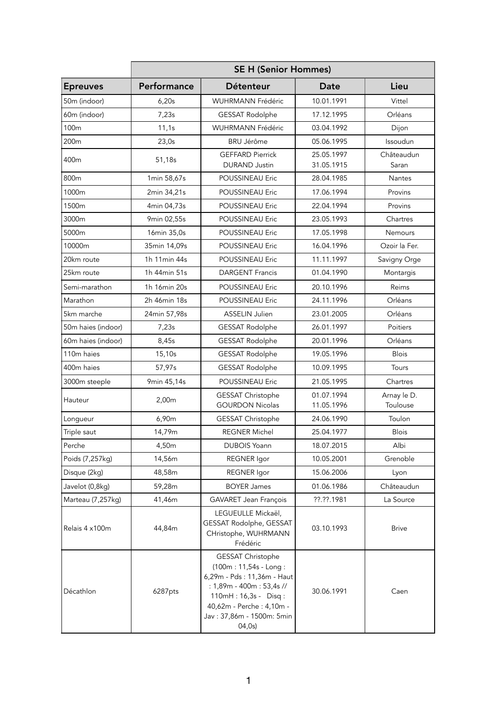|                    | <b>SE H (Senior Hommes)</b> |                                                                                                                                                                                                   |                          |                         |  |
|--------------------|-----------------------------|---------------------------------------------------------------------------------------------------------------------------------------------------------------------------------------------------|--------------------------|-------------------------|--|
| <b>Epreuves</b>    | Performance                 | Détenteur                                                                                                                                                                                         | Date                     | Lieu                    |  |
| 50m (indoor)       | 6,20s                       | <b>WUHRMANN Frédéric</b>                                                                                                                                                                          | 10.01.1991               | Vittel                  |  |
| 60m (indoor)       | 7,23s                       | <b>GESSAT Rodolphe</b>                                                                                                                                                                            | 17.12.1995               | Orléans                 |  |
| 100m               | 11,1s                       | WUHRMANN Frédéric                                                                                                                                                                                 | 03.04.1992               | Dijon                   |  |
| 200 <sub>m</sub>   | 23,0s                       | <b>BRU Jérôme</b>                                                                                                                                                                                 | 05.06.1995               | Issoudun                |  |
| 400m               | 51,18s                      | <b>GEFFARD Pierrick</b><br><b>DURAND Justin</b>                                                                                                                                                   | 25.05.1997<br>31.05.1915 | Châteaudun<br>Saran     |  |
| 800m               | 1min 58,67s                 | POUSSINEAU Eric                                                                                                                                                                                   | 28.04.1985               | Nantes                  |  |
| 1000m              | 2min 34,21s                 | POUSSINEAU Eric                                                                                                                                                                                   | 17.06.1994               | Provins                 |  |
| 1500m              | 4min 04,73s                 | <b>POUSSINEAU Eric</b>                                                                                                                                                                            | 22.04.1994               | Provins                 |  |
| 3000m              | 9min 02,55s                 | POUSSINEAU Eric                                                                                                                                                                                   | 23.05.1993               | Chartres                |  |
| 5000m              | 16min 35,0s                 | POUSSINEAU Eric                                                                                                                                                                                   | 17.05.1998               | <b>Nemours</b>          |  |
| 10000m             | 35min 14,09s                | POUSSINEAU Eric                                                                                                                                                                                   | 16.04.1996               | Ozoir la Fer.           |  |
| 20km route         | 1h 11min 44s                | POUSSINEAU Eric                                                                                                                                                                                   | 11.11.1997               | Savigny Orge            |  |
| 25km route         | 1h 44min 51s                | <b>DARGENT Francis</b>                                                                                                                                                                            | 01.04.1990               | Montargis               |  |
| Semi-marathon      | 1h 16min 20s                | POUSSINEAU Eric                                                                                                                                                                                   | 20.10.1996               | Reims                   |  |
| Marathon           | 2h 46min 18s                | POUSSINEAU Eric                                                                                                                                                                                   | 24.11.1996               | Orléans                 |  |
| 5km marche         | 24min 57,98s                | ASSELIN Julien                                                                                                                                                                                    | 23.01.2005               | Orléans                 |  |
| 50m haies (indoor) | 7,23s                       | <b>GESSAT Rodolphe</b>                                                                                                                                                                            | 26.01.1997               | Poitiers                |  |
| 60m haies (indoor) | 8,45s                       | <b>GESSAT Rodolphe</b>                                                                                                                                                                            | 20.01.1996               | Orléans                 |  |
| 110m haies         | 15,10s                      | <b>GESSAT Rodolphe</b>                                                                                                                                                                            | 19.05.1996               | <b>Blois</b>            |  |
| 400m haies         | 57,97s                      | <b>GESSAT Rodolphe</b>                                                                                                                                                                            | 10.09.1995               | Tours                   |  |
| 3000m steeple      | 9min 45,14s                 | POUSSINEAU Eric                                                                                                                                                                                   | 21.05.1995               | Chartres                |  |
| Hauteur            | 2,00m                       | GESSAT Christophe<br><b>GOURDON Nicolas</b>                                                                                                                                                       | 01.07.1994<br>11.05.1996 | Arnay le D.<br>Toulouse |  |
| Longueur           | 6,90m                       | <b>GESSAT Christophe</b>                                                                                                                                                                          | 24.06.1990               | Toulon                  |  |
| Triple saut        | 14,79m                      | <b>REGNER Michel</b>                                                                                                                                                                              | 25.04.1977               | <b>Blois</b>            |  |
| Perche             | 4,50m                       | <b>DUBOIS Yoann</b>                                                                                                                                                                               | 18.07.2015               | Albi                    |  |
| Poids (7,257kg)    | 14,56m                      | <b>REGNER</b> lgor                                                                                                                                                                                | 10.05.2001               | Grenoble                |  |
| Disque (2kg)       | 48,58m                      | <b>REGNER</b> Igor                                                                                                                                                                                | 15.06.2006               | Lyon                    |  |
| Javelot (0,8kg)    | 59,28m                      | <b>BOYER James</b>                                                                                                                                                                                | 01.06.1986               | Châteaudun              |  |
| Marteau (7,257kg)  | 41,46m                      | GAVARET Jean François                                                                                                                                                                             | ??.??.1981               | La Source               |  |
| Relais 4 x100m     | 44,84m                      | LEGUEULLE Mickaël,<br>GESSAT Rodolphe, GESSAT<br>CHristophe, WUHRMANN<br>Frédéric                                                                                                                 | 03.10.1993               | <b>Brive</b>            |  |
| Décathlon          | 6287pts                     | GESSAT Christophe<br>(100m: 11,54s - Long:<br>6,29m - Pds : 11,36m - Haut<br>: 1,89m - 400m : 53,4s //<br>110mH: 16,3s - Disq:<br>40,62m - Perche : 4,10m -<br>Jav: 37,86m - 1500m: 5min<br>04,0s | 30.06.1991               | Caen                    |  |